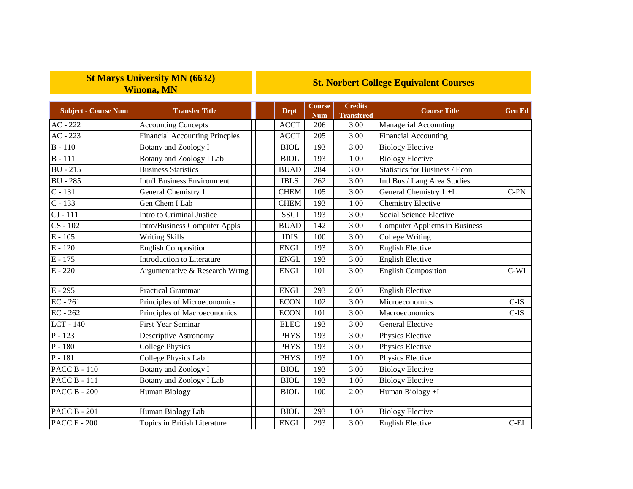## **St Marys University MN (6632) Winona, MN**

## **St. Norbert College Equivalent Courses**

| <b>Subject - Course Num</b> | <b>Transfer Title</b>                 | <b>Dept</b>  | <b>Course</b><br><b>Num</b> | <b>Credits</b><br><b>Transfered</b> | <b>Course Title</b>                   | <b>Gen Ed</b> |
|-----------------------------|---------------------------------------|--------------|-----------------------------|-------------------------------------|---------------------------------------|---------------|
| $AC - 222$                  | <b>Accounting Concepts</b>            | <b>ACCT</b>  | 206                         | 3.00                                | Managerial Accounting                 |               |
| $AC - 223$                  | <b>Financial Accounting Princples</b> | <b>ACCT</b>  | 205                         | 3.00                                | <b>Financial Accounting</b>           |               |
| $B - 110$                   | <b>Botany and Zoology I</b>           | <b>BIOL</b>  | 193                         | 3.00                                | <b>Biology Elective</b>               |               |
| $B - 111$                   | Botany and Zoology I Lab              | <b>BIOL</b>  | 193                         | 1.00                                | <b>Biology Elective</b>               |               |
| $BU - 215$                  | <b>Business Statistics</b>            | <b>BUAD</b>  | 284                         | 3.00                                | Statistics for Business / Econ        |               |
| <b>BU</b> - 285             | <b>Intn'l Business Environment</b>    | <b>IBLS</b>  | 262                         | 3.00                                | Intl Bus / Lang Area Studies          |               |
| $C - 131$                   | General Chemistry 1                   | <b>CHEM</b>  | 105                         | $\overline{3.00}$                   | General Chemistry 1+L                 | $C-PN$        |
| $C - 133$                   | Gen Chem I Lab                        | <b>CHEM</b>  | 193                         | 1.00                                | <b>Chemistry Elective</b>             |               |
| $CI - 111$                  | Intro to Criminal Justice             | <b>SSCI</b>  | 193                         | 3.00                                | <b>Social Science Elective</b>        |               |
| $CS - 102$                  | Intro/Business Computer Appls         | <b>BUAD</b>  | 142                         | 3.00                                | <b>Computer Applictns in Business</b> |               |
| $E - 105$                   | <b>Writing Skills</b>                 | <b>IDIS</b>  | 100                         | 3.00                                | <b>College Writing</b>                |               |
| $E - 120$                   | <b>English Composition</b>            | <b>ENGL</b>  | 193                         | 3.00                                | <b>English Elective</b>               |               |
| $E - 175$                   | Introduction to Literature            | <b>ENGL</b>  | 193                         | 3.00                                | <b>English Elective</b>               |               |
| $E - 220$                   | Argumentative & Research Wrtng        | <b>ENGL</b>  | 101                         | 3.00                                | <b>English Composition</b>            | $C-WI$        |
| $E - 295$                   | <b>Practical Grammar</b>              | <b>ENGL</b>  | 293                         | 2.00                                | <b>English Elective</b>               |               |
| $EC - 261$                  | Principles of Microeconomics          | <b>ECON</b>  | 102                         | 3.00                                | Microeconomics                        | $C-IS$        |
| $EC - 262$                  | Principles of Macroeconomics          | <b>ECON</b>  | 101                         | 3.00                                | Macroeconomics                        | $C$ -IS       |
| LCT - 140                   | <b>First Year Seminar</b>             | <b>ELEC</b>  | 193                         | 3.00                                | <b>General Elective</b>               |               |
| $P - 123$                   | <b>Descriptive Astronomy</b>          | <b>PHYS</b>  | 193                         | 3.00                                | Physics Elective                      |               |
| $\overline{P}$ - 180        | <b>College Physics</b>                | <b>PHYS</b>  | 193                         | 3.00                                | Physics Elective                      |               |
| $P - 181$                   | <b>College Physics Lab</b>            | <b>PHYS</b>  | 193                         | 1.00                                | Physics Elective                      |               |
| <b>PACC B - 110</b>         | <b>Botany and Zoology I</b>           | <b>BIOL</b>  | 193                         | 3.00                                | <b>Biology Elective</b>               |               |
| <b>PACC B - 111</b>         | <b>Botany and Zoology I Lab</b>       | <b>BIOL</b>  | 193                         | 1.00                                | <b>Biology Elective</b>               |               |
| <b>PACC B - 200</b>         | <b>Human Biology</b>                  | <b>BIOL</b>  | 100                         | 2.00                                | Human Biology +L                      |               |
| <b>PACC B - 201</b>         | Human Biology Lab                     | <b>BIOL</b>  | 293                         | 1.00                                | <b>Biology Elective</b>               |               |
| <b>PACC E - 200</b>         | Topics in British Literature          | ${\rm ENGL}$ | 293                         | 3.00                                | <b>English Elective</b>               | $C-EI$        |